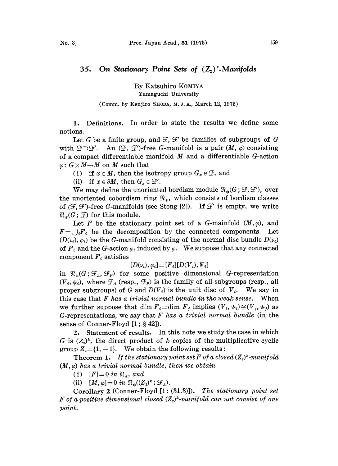## 35. On Stationary Point Sets of  $(\mathbb{Z}_2)^k$ -Manifolds

By Katsuhiro KOMIYA Yamaguchi University

## (Comm. by Kenjiro SHODA, M. J. A., March 12, 1975)

1. Definitions. In order to state the results we define some notions.

Let G be a finite group, and  $\mathcal{F}, \mathcal{F}'$  be families of subgroups of G with  $\mathcal{F}\supset \mathcal{F}'$ . An  $(\mathcal{F}, \mathcal{F}')$ -free G-manifold is a pair  $(M, \varphi)$  consisting of a compact differentiable manifold  $M$  and a differentiable  $G$ -action  $\varphi: G \times M \rightarrow M$  on M such that

(i) if  $x \in M$ , then the isotropy group  $G_x \in \mathcal{F}$ , and

(ii) if  $x \in \partial M$ , then  $G_x \in \mathcal{F}'$ .

We may define the unoriented bordism module  $\mathfrak{R}_*(G; \mathcal{F}, \mathcal{F}')$ , over the unoriented cobordism ring  $\mathfrak{R}_*$ , which consists of bordism classes of  $(\mathcal{F}, \mathcal{F})$ -free G-manifolds (see Stong [2]). If  $\mathcal{F}'$  is empty, we write  $\mathfrak{R}_{\ast}(G; \mathcal{F})$  for this module.

Let F be the stationary point set of a G-mainfold  $(M, \varphi)$ , and  $F = \bigcup_i F_i$  be the decomposition by the connected components. Let  $(D(\nu_i), \varphi_i)$  be the G-manifold consisting of the normal disc bundle  $D(\nu_i)$ of  $F_i$  and the G-action  $\varphi_i$  induced by  $\varphi$ . We suppose that any connected component  $F_i$  satisfies

$$
[D(\nu_i),\varphi_i]{=}[F_i][D(V_i),\varPsi_i]
$$

in  $\mathfrak{N}_*(G;\mathcal{F}_A,\mathcal{F}_P)$  for some positive dimensional G-representation  $(V_i, \psi_i)$ , where  $\mathcal{F}_A$  (resp.,  $\mathcal{F}_P$ ) is the family of all subgroups (resp., all proper subgroups) of G and  $D(V_i)$  is the unit disc of  $V_i$ . We say in this case that  $F$  has a trivial normal bundle in the weak sense. When we further suppose that dim  $F_i=$ dim  $F_j$  implies  $(V_i, \psi_i)\cong (V_j, \psi_j)$  as G-representations, we say that  $F$  has a trivial normal bundle (in the sense of Conner-Floyd  $[1; § 42]$ .

2. Statement of results. In this note we study the case in which G is  $(Z<sub>i</sub>)<sup>k</sup>$ , the direct product of k copies of the multiplicative cyclic group  $Z_i = \{1, -1\}$ . We obtain the following results:

**Theorem 1.** If the stationary point set F of a closed  $(Z_2)^k$ -manifold  $(M, \varphi)$  has a trivial normal bundle, then we obtain

(i)  $[F]=0$  in  $\mathfrak{N}_*,$  and

(ii)  $[M, \varphi] = 0$  in  $\Re_{*}((Z_{2})^{k}; \mathcal{F}_{A}).$ 

Corollary 2 (Conner-Floyd [1: (31.3)]). The stationary point set F of a positive dimensional closed  $(Z<sub>2</sub>)<sup>k</sup>$ -manifold can not consist of one point.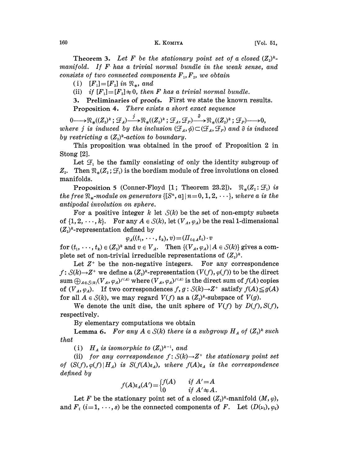## 160 K. KOMIYA [Vol. 51,

**Theorem 3.** Let F be the stationary point set of a closed  $(Z_i)^k$ manifold. If  $F$  has a trivial normal bundle in the weak sense, and<br>consists of two competed components  $F$ ,  $F$ , and obtain  $consists$  of two connected components  $\pmb{F}_{1}, \pmb{F}_{2},$  we obtain

(i)  $[F_1] = [F_2]$  in  $\mathfrak{R}_*$ , and

(ii) if  $[F_1]=[F_2]\neq 0$ , then F has a trivial normal bundle.

3. Preliminaries of proofs. First we state the known results.

Proposition 4. There exists a short exact sequence

 $0 \longrightarrow {\mathfrak{N}}_{*}((Z_{2})^{k};\mathcal{F}_{A}) \longrightarrow {\mathfrak{N}}_{*}((Z_{2})^{k};\mathcal{F}_{A},\mathcal{F}_{P}) \longrightarrow {\mathfrak{N}}_{*}((Z_{2})^{k};\mathcal{F}_{P}) \longrightarrow 0,$ where *j* is induced by the inclusion  $(\mathcal{F}_A, \phi) \subset (\mathcal{F}_A, \mathcal{F}_P)$  and  $\partial$  is induced by restricting a  $(Z_2)^k$ -action to boundary.

This proposition was obtained in the proof of Proposition 2 in Stong [2].

Let  $\mathcal{F}_1$  be the family consisting of only the identity subgroup of  $Z_2$ . Then  $\mathfrak{N}_*(Z_2;\mathcal{F}_1)$  is the bordism module of free involutions on closed manifolds.

Proposition 5 (Conner-Floyd [1; Theorem 23.2]).  $\mathfrak{R}_*(Z_2: \mathcal{F}_1)$  is the free  $\mathfrak{R}_*$ -module on generators  $\{[S^n, a]| n=0, 1, 2, \cdots\}$ , where a is the antipodal involution on sphere.

For a positive integer k let  $S(k)$  be the set of non-empty subsets of  $\{1, 2, \dots, k\}$ . For any  $A \in \mathcal{S}(k)$ , let  $(V_A, \varphi_A)$  be the real 1-dimensional  $(Z<sub>2</sub>)<sup>k</sup>$ -representation defined by

$$
\varphi_A((t_1,\ldots,t_k),v)=(\Pi_{i\in A}t_i)\cdot v
$$

for  $(t_1, \dots, t_k) \in (Z_2)^k$  and  $v \in V_A$ . Then  $\{(V_A, \varphi_A) | A \in \mathcal{S}(k)\}\$  gives a complete set of non-trivial irreducible representations of  $(Z_i)^k$ .

Let  $Z^+$  be the non-negative integers. For any correspondence  $f\colon \mathcal{S}(k){\rightarrow} Z^+$  we define a  $(Z_2)^k$ -representation  $(V(f),\varphi(f))$  to be the direct sum  $\bigoplus_{A\in\mathcal{S}(k)}(V_A, \varphi_A)^{f(A)}$  where  $(V_A, \varphi_A)^{f(A)}$  is the direct sum of  $f(A)$  copies of  $(V_A, \varphi_A)$ . If two correspondences  $f, g: \mathcal{S}(k) \to Z^+$  satisfy  $f(A) \leq g(A)$ for all  $A \in \mathcal{S}(k)$ , we may regard  $V(f)$  as a  $(Z_2)^k$ -subspace of  $V(g)$ .

We denote the unit dise, the unit sphere of  $V(f)$  by  $D(f)$ ,  $S(f)$ , respectively.

By elementary computations we obtain

**Lemma 6.** For any  $A \in S(k)$  there is a subgroup  $H_A$  of  $(Z_2)^k$  such that

(i)  $H_A$  is isomorphic to  $(Z_2)^{k-1}$ , and

(ii) for any correspondence  $f: S(k) \rightarrow Z^+$  the stationary point set of  $(S(f),\varphi(f)|H_A)$  is  $S(f(A)\varepsilon_A)$ , where  $f(A)\varepsilon_A$  is the correspondence defined by

$$
f(A)\varepsilon_A(A') = \begin{cases} f(A) & \text{if } A' = A \\ 0 & \text{if } A' \neq A \end{cases}
$$

Let F be the stationary point set of a closed  $(Z_i)^k$ -manifold  $(M, \varphi)$ , and  $F_i$  (i=1, ..., s) be the connected components of F. Let  $(D(\nu_i), \varphi_i)$ .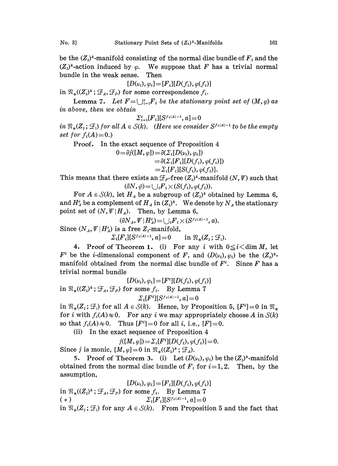be the  $(Z_i)^k$ -manifold consisting of the normal disc bundle of  $F_i$  and the  $(Z_2)^k$ -action induced by  $\varphi$ . We suppose that F has a trivial normal bundle in the weak sense. Then bundle in the weak sense.

$$
[D(\nu_i), \varphi_i] = [F_i][D(f_i), \varphi(f_i)]
$$

in  $\mathfrak{R}_*(Z_2)^k$ ;  $\mathcal{F}_A$ ,  $\mathcal{F}_P$ ) for some correspondence  $f_i$ .

Lemma 7. Let  $F = \bigcup_{i=1}^s F_i$  be the stationary point set of  $(M, \varphi)$  as in above, then we obtain

$$
\Sigma_{i=1}^s [F_i][S^{f_i(A)-1},a] \!=\! 0
$$

in  $\mathbb{R}_*(Z_i; \mathcal{F}_i)$  for all  $A \in S(k)$ . (Here we consider  $S^{f_i(A)-1}$  to be the empty<br>set for  $f_i(A) = 0$ .)<br>Proof. In the exact sequence of Proposition 4 set for  $f_i(A)=0.$ )

Proof. In the exact sequence of Proposition 4

$$
0 = \partial j([M, \varphi]) = \partial(\Sigma_i[D(\nu_i), \varphi_i])
$$
  
=  $\partial(\Sigma_i[F_i][D(f_i), \varphi(f_i)])$   
=  $\Sigma_i[F_i][S(f_i), \varphi(f_i)].$ 

This means that there exists an  $\mathcal{F}_P$ -free  $(Z_2)^k$ -manifold  $(N, \Psi)$  such that  $(\partial N, \phi) = \bigcup_i F_i \times (S(f_i), \phi(f_i)).$ 

For  $A \in \mathcal{S}(k)$ , let  $H_A$  be a subgroup of  $(Z_i)^k$  obtained by Lemma 6, and  $H_A^c$  be a complement of  $H_A$  in  $(Z_2)^k$ . We denote by  $N_A$  the stationary point set of  $(N, \Psi | H_A)$ . Then, by Lemma 6,

$$
(\partial N_A, \Psi | H_A^c) = \bigcup_i F_i \times (S^{f_i(A)-1}, a).
$$

Since  $(N_A, \Psi | H_A^c)$  is a free  $Z_2$ -manifold,  $\Sigma_i[F_i][S^{f_i(A)-1}, a] = 0$  in  $\Re_*(Z_2; \mathcal{F}_1).$ 

4. Proof of Theorem 1. (i) For any i with  $0 \le i < \dim M$ , let  $F^i$  be the *i*-dimensional component of F, and  $(D(\nu_i), \varphi_i)$  be the  $(Z_i)^k$ manifold obtained from the normal disc bundle of  $F^i$ . Since  $F$  has a trivial normal bundle. trivial normal bundle

$$
[D(\nu_i), \varphi_i] = [F^i][D(f_i), \varphi(f_i)]
$$
  
in  $\mathfrak{N}_*((Z_i)^k; \mathcal{F}_A, \mathcal{F}_P)$  for some  $f_i$ . By Lemma 7  

$$
\Sigma_i[F^i][S^{f_i(A)-1}, a] = 0
$$

for i with  $f_i(A) \neq 0$ . For any i we may appropriately choose A in  $\mathcal{S}(k)$  $\mathcal{L}_i[F^i][S^{j+i,2i-1}, a] = 0$ <br>in  $\mathfrak{R}_*(Z_i; \mathcal{F}_i)$  for all  $A \in \mathcal{S}(k)$ . Hence, by Proposition 5,  $[F^i] = 0$  in  $\mathfrak{R}_*$ so that  $f_i(A) \neq 0$ . Thus  $[F^i]=0$  for all *i*, i.e.,  $[F]=0$ .

(ii) In the exact sequence of Proposition 4

 $j([M, \varphi]) = \sum_i [F^i][D(f_i), \varphi(f_i)] = 0.$ 

Since j is monic,  $[M, \varphi]=0$  in  $\mathfrak{R}_*((Z_2)^k; \mathcal{F}_A)$ .

5. Proof of Theorem 3. (i) Let  $(D(\nu_i), \varphi_i)$  be the  $(Z_i)^k$ -manifold obtained from the normal disc bundle of  $F_i$  for  $i=1, 2$ . Then, by the assumption,

 $[D(\nu_i), \varphi_i] = [F_i][D(f_i), \varphi(f_i)]$ in  $\mathfrak{R}_{*}((Z_{2})^{k}; \mathcal{F}_{A}, \mathcal{F}_{P})$  for some  $f_{i}$ . By Lemma 7 (\*)  $\Sigma_i[F_i][S^{f_i(A)-1}, a]=0$ in  $\mathfrak{R}_*(Z_2; \mathcal{F}_1)$  for any  $A \in \mathcal{S}(k)$ . From Proposition 5 and the fact that